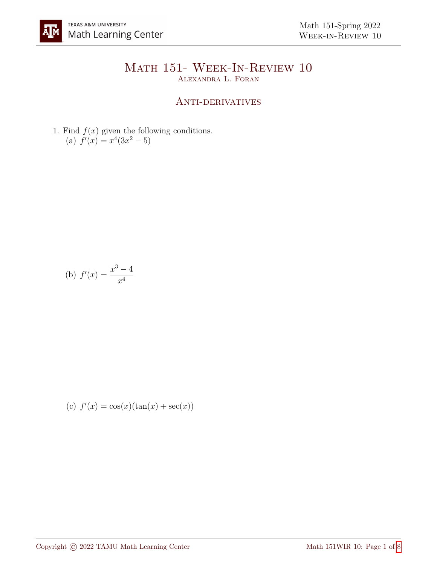## Math 151- Week-In-Review 10 Alexandra L. Foran

## ANTI-DERIVATIVES

1. Find  $f(x)$  given the following conditions. (a)  $f'(x) = x^4(3x^2 - 5)$ 

(b) 
$$
f'(x) = \frac{x^3 - 4}{x^4}
$$

(c) 
$$
f'(x) = \cos(x)(\tan(x) + \sec(x))
$$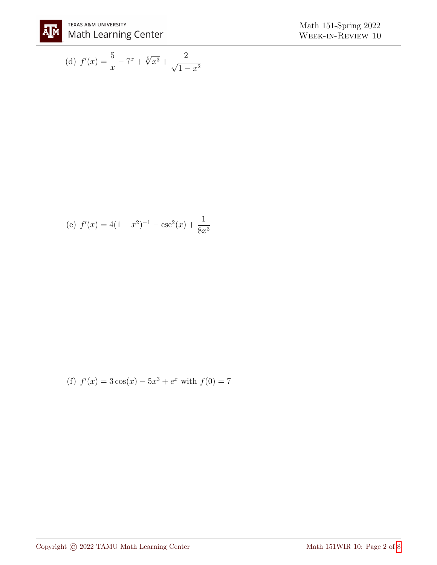

(d) 
$$
f'(x) = \frac{5}{x} - 7^x + \sqrt[5]{x^3} + \frac{2}{\sqrt{1 - x^2}}
$$

(e) 
$$
f'(x) = 4(1+x^2)^{-1} - \csc^2(x) + \frac{1}{8x^3}
$$

(f) 
$$
f'(x) = 3\cos(x) - 5x^3 + e^x
$$
 with  $f(0) = 7$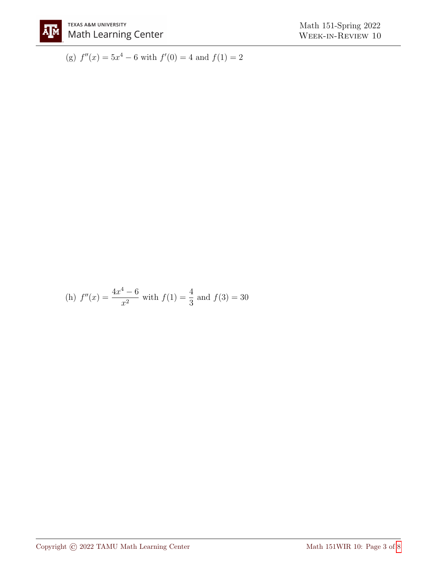

(g)  $f''(x) = 5x^4 - 6$  with  $f'(0) = 4$  and  $f(1) = 2$ 

(h) 
$$
f''(x) = \frac{4x^4 - 6}{x^2}
$$
 with  $f(1) = \frac{4}{3}$  and  $f(3) = 30$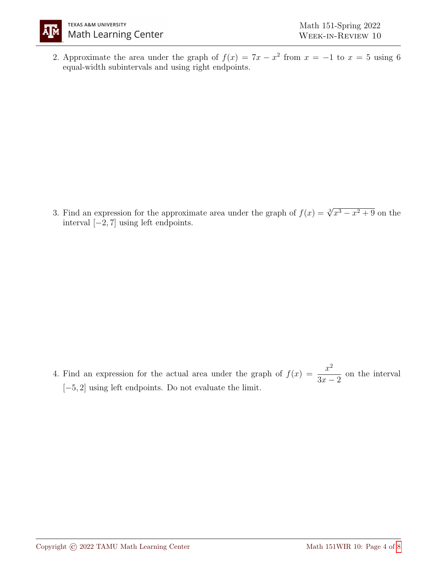

2. Approximate the area under the graph of  $f(x) = 7x - x^2$  from  $x = -1$  to  $x = 5$  using 6 equal-width subintervals and using right endpoints.

3. Find an expression for the approximate area under the graph of  $f(x) = \sqrt[3]{x^3 - x^2 + 9}$  on the interval [−2, 7] using left endpoints.

4. Find an expression for the actual area under the graph of  $f(x) = \frac{x^2}{2}$  $3x - 2$ on the interval [−5, 2] using left endpoints. Do not evaluate the limit.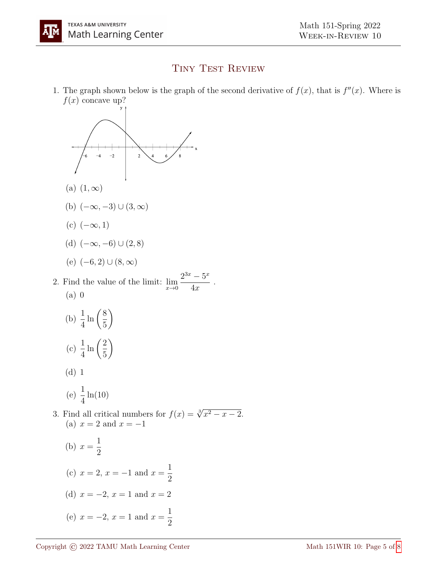## TINY TEST REVIEW

1. The graph shown below is the graph of the second derivative of  $f(x)$ , that is  $f''(x)$ . Where is  $f(x)$  concave up?

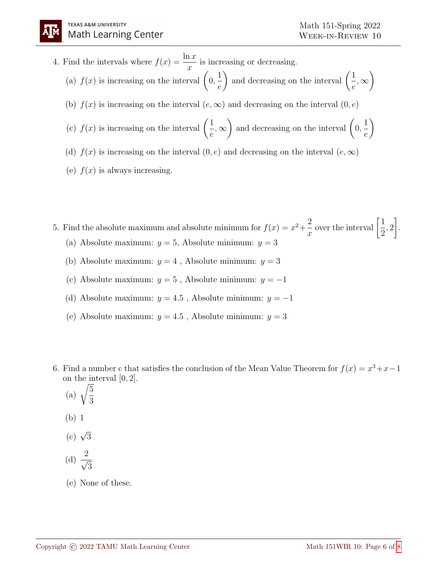4. Find the intervals where  $f(x) = \frac{\ln x}{x}$  $\overline{x}$ is increasing or decreasing. (a)  $f(x)$  is increasing on the interval  $\Big(0, \Big)$ 1 e ) and decreasing on the interval  $\left(\frac{1}{n}\right)$ e ,∞  $\setminus$ (b)  $f(x)$  is increasing on the interval  $(e, \infty)$  and decreasing on the interval  $(0, e)$ (c)  $f(x)$  is increasing on the interval  $\left(\frac{1}{x}\right)$ e ,∞ ) and decreasing on the interval  $(0, 0)$ 1 e  $\setminus$ (d)  $f(x)$  is increasing on the interval  $(0, e)$  and decreasing on the interval  $(e, \infty)$ (e)  $f(x)$  is always increasing.

5. Find the absolute maximum and absolute minimum for  $f(x) = x^2 + \frac{2}{x}$  $\overline{x}$ over the interval  $\left[\frac{1}{2}\right]$ 2 , 2 1 . (a) Absolute maximum:  $y = 5$ , Absolute minimum:  $y = 3$ 

- (b) Absolute maximum:  $y = 4$ , Absolute minimum:  $y = 3$
- (c) Absolute maximum:  $y = 5$ , Absolute minimum:  $y = -1$
- (d) Absolute maximum:  $y = 4.5$ , Absolute minimum:  $y = -1$
- (e) Absolute maximum:  $y = 4.5$ , Absolute minimum:  $y = 3$
- 6. Find a number c that satisfies the conclusion of the Mean Value Theorem for  $f(x) = x^3 + x 1$ on the interval [0, 2].
	- (a)  $\sqrt{\frac{5}{2}}$ 3
	- (b) 1
	- (c)  $\sqrt{3}$

(d) 
$$
\frac{2}{\sqrt{3}}
$$

(e) None of these.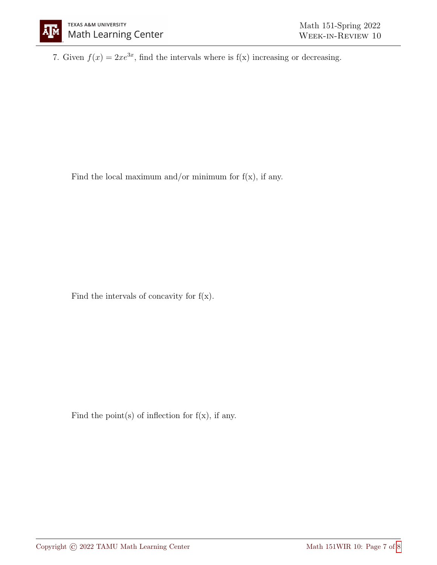7. Given  $f(x) = 2xe^{3x}$ , find the intervals where is  $f(x)$  increasing or decreasing.

Find the local maximum and/or minimum for  $f(x)$ , if any.

Find the intervals of concavity for  $f(x)$ .

Find the point(s) of inflection for  $f(x)$ , if any.